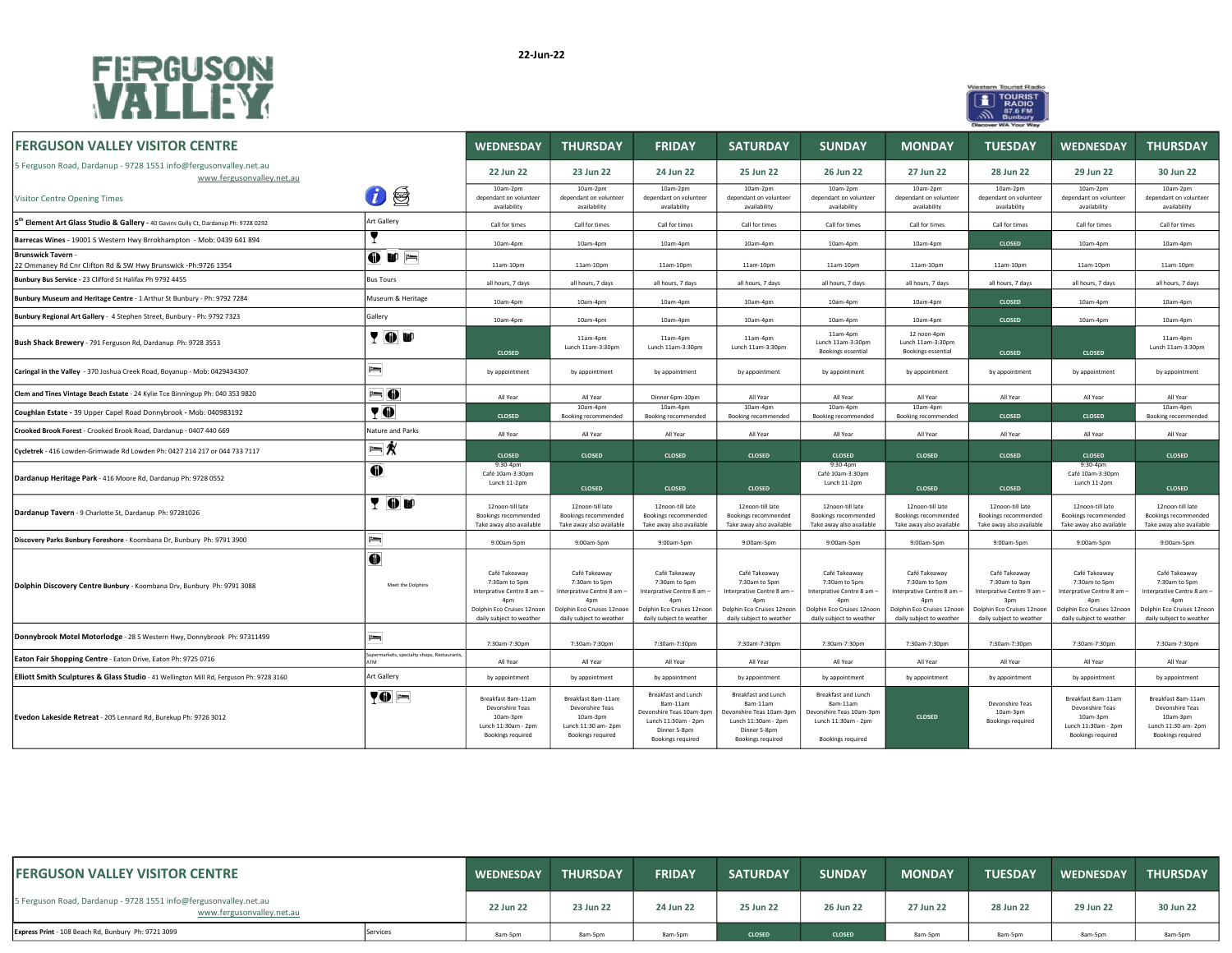



| <b>FERGUSON VALLEY VISITOR CENTRE</b>                                                         |                                                           | <b>WEDNESDAY</b>                                                                                                                          | <b>THURSDAY</b>                                                                                                               | <b>FRIDAY</b>                                                                                                                             | <b>SATURDAY</b>                                                                                                                           | <b>SUNDAY</b>                                                                                                                 | <b>MONDAY</b>                                                                                                                             | <b>TUESDAY</b>                                                                                                                | <b>WEDNESDAY</b>                                                                                                                          | <b>THURSDAY</b>                                                                                                               |
|-----------------------------------------------------------------------------------------------|-----------------------------------------------------------|-------------------------------------------------------------------------------------------------------------------------------------------|-------------------------------------------------------------------------------------------------------------------------------|-------------------------------------------------------------------------------------------------------------------------------------------|-------------------------------------------------------------------------------------------------------------------------------------------|-------------------------------------------------------------------------------------------------------------------------------|-------------------------------------------------------------------------------------------------------------------------------------------|-------------------------------------------------------------------------------------------------------------------------------|-------------------------------------------------------------------------------------------------------------------------------------------|-------------------------------------------------------------------------------------------------------------------------------|
| 5 Ferguson Road, Dardanup - 9728 1551 info@fergusonvalley.net.au<br>www.fergusonvalley.net.au |                                                           | 22 Jun 22                                                                                                                                 | 23 Jun 22                                                                                                                     | 24 Jun 22                                                                                                                                 | 25 Jun 22                                                                                                                                 | 26 Jun 22                                                                                                                     | 27 Jun 22                                                                                                                                 | 28 Jun 22                                                                                                                     | 29 Jun 22                                                                                                                                 | 30 Jun 22                                                                                                                     |
| Visitor Centre Opening Times                                                                  | $\bm{v}$ ,                                                | 10am-2pm<br>dependant on volunteer<br>availability                                                                                        | 10am-2pm<br>dependant on volunteer<br>availability                                                                            | 10am-2pm<br>dependant on volunteer<br>availability                                                                                        | 10am-2pm<br>dependant on volunteer<br>availability                                                                                        | 10am-2pm<br>dependant on volunteer<br>availability                                                                            | 10am-2pm<br>dependant on volunteer<br>availability                                                                                        | 10am-2pm<br>dependant on volunteer<br>availability                                                                            | 10am-2pm<br>dependant on volunteer<br>availability                                                                                        | 10am-2pm<br>dependant on volunteer<br>availability                                                                            |
| 5th Element Art Glass Studio & Gallery - 40 Gavins Gully Ct, Dardanup Ph: 9728 0292           | Art Gallery                                               | Call for times                                                                                                                            | Call for times                                                                                                                | Call for times                                                                                                                            | Call for times                                                                                                                            | Call for times                                                                                                                | Call for times                                                                                                                            | Call for times                                                                                                                | Call for times                                                                                                                            | Call for times                                                                                                                |
| Barrecas Wines - 19001 S Western Hwy Brrokhampton - Mob: 0439 641 894                         |                                                           | 10am-4pm                                                                                                                                  | 10am-4pm                                                                                                                      | 10am-4pm                                                                                                                                  | 10am-4pm                                                                                                                                  | 10am-4pm                                                                                                                      | 10am-4pm                                                                                                                                  | <b>CLOSED</b>                                                                                                                 | 10am-4pm                                                                                                                                  | 10am-4pm                                                                                                                      |
| <b>Brunswick Tavern</b><br>22 Ommaney Rd Cnr Clifton Rd & SW Hwy Brunswick -Ph:9726 1354      | $\bullet$ $\bullet$ $\equiv$                              | 11am-10pm                                                                                                                                 | 11am-10pm                                                                                                                     | 11am-10pm                                                                                                                                 | 11am-10pm                                                                                                                                 | 11am-10pm                                                                                                                     | 11am-10pm                                                                                                                                 | 11am-10pm                                                                                                                     | 11am-10pm                                                                                                                                 | 11am-10pm                                                                                                                     |
| Bunbury Bus Service - 23 Clifford St Halifax Ph 9792 4455                                     | <b>Bus Tours</b>                                          | all hours, 7 days                                                                                                                         | all hours, 7 days                                                                                                             | all hours, 7 days                                                                                                                         | all hours, 7 days                                                                                                                         | all hours, 7 days                                                                                                             | all hours, 7 days                                                                                                                         | all hours, 7 days                                                                                                             | all hours, 7 days                                                                                                                         | all hours, 7 days                                                                                                             |
| Bunbury Museum and Heritage Centre - 1 Arthur St Bunbury - Ph: 9792 7284                      | Museum & Heritage                                         | 10am-4pm                                                                                                                                  | 10am-4pm                                                                                                                      | 10am-4pm                                                                                                                                  | 10am-4pm                                                                                                                                  | 10am-4pm                                                                                                                      | 10am-4pm                                                                                                                                  | <b>CLOSED</b>                                                                                                                 | 10am-4pm                                                                                                                                  | 10am-4pm                                                                                                                      |
| Bunbury Regional Art Gallery - 4 Stephen Street, Bunbury - Ph: 9792 7323                      | Gallery                                                   | 10am-4pm                                                                                                                                  | 10am-4pm                                                                                                                      | 10am-4pm                                                                                                                                  | 10am-4pm                                                                                                                                  | 10am-4pm                                                                                                                      | 10am-4pm                                                                                                                                  | <b>CLOSED</b>                                                                                                                 | 10am-4pm                                                                                                                                  | 10am-4pm                                                                                                                      |
| Bush Shack Brewery - 791 Ferguson Rd, Dardanup Ph: 9728 3553                                  | <b>TOU</b>                                                | <b>CLOSED</b>                                                                                                                             | 11am-4pm<br>Lunch 11am-3:30pm                                                                                                 | 11am-4pm<br>Lunch 11am-3:30pm                                                                                                             | 11am-4pm<br>Lunch 11am-3:30pm                                                                                                             | 11am-4pm<br>Lunch 11am-3:30pm<br><b>Bookings essential</b>                                                                    | 12 noon-4pm<br>Lunch 11am-3:30pm<br>Bookings essential                                                                                    | <b>CLOSED</b>                                                                                                                 | <b>CLOSED</b>                                                                                                                             | 11am-4pm<br>Lunch 11am-3:30pm                                                                                                 |
| Caringal in the Valley - 370 Joshua Creek Road, Boyanup - Mob: 0429434307                     | $=$                                                       | by appointment                                                                                                                            | by appointment                                                                                                                | by appointment                                                                                                                            | by appointment                                                                                                                            | by appointment                                                                                                                | by appointment                                                                                                                            | by appointment                                                                                                                | by appointment                                                                                                                            | by appointment                                                                                                                |
| Clem and Tines Vintage Beach Estate - 24 Kylie Tce Binningup Ph: 040 353 9820                 | $= 0$                                                     | All Year                                                                                                                                  | All Year                                                                                                                      | Dinner 6pm-10pm                                                                                                                           | All Year                                                                                                                                  | All Year                                                                                                                      | All Year                                                                                                                                  | All Year                                                                                                                      | All Year                                                                                                                                  | All Year                                                                                                                      |
| Coughlan Estate - 39 Upper Capel Road Donnybrook - Mob: 040983192                             | $\P$ $\Phi$                                               | <b>CLOSED</b>                                                                                                                             | $10am-4pm$<br><b>Booking recommended</b>                                                                                      | 10am-4pm<br>Booking recommended                                                                                                           | $10am-4pm$<br>Booking recommended                                                                                                         | 10am-4pm<br>Booking recommended                                                                                               | 10am-4pm<br>Booking recommended                                                                                                           | <b>CLOSED</b>                                                                                                                 | <b>CLOSED</b>                                                                                                                             | 10am-4pm<br>Booking recommended                                                                                               |
| Crooked Brook Forest - Crooked Brook Road, Dardanup - 0407 440 669                            | Nature and Parks                                          | All Year                                                                                                                                  | All Year                                                                                                                      | All Year                                                                                                                                  | All Year                                                                                                                                  | All Year                                                                                                                      | All Year                                                                                                                                  | All Year                                                                                                                      | All Year                                                                                                                                  | All Year                                                                                                                      |
| Cycletrek - 416 Lowden-Grimwade Rd Lowden Ph: 0427 214 217 or 044 733 7117                    | $= 1/2$                                                   | <b>CLOSED</b>                                                                                                                             | <b>CLOSED</b>                                                                                                                 | <b>CLOSED</b>                                                                                                                             | <b>CLOSED</b>                                                                                                                             | <b>CLOSED</b>                                                                                                                 | <b>CLOSED</b>                                                                                                                             | <b>CLOSED</b>                                                                                                                 | <b>CLOSED</b>                                                                                                                             | <b>CLOSED</b>                                                                                                                 |
| Dardanup Heritage Park - 416 Moore Rd, Dardanup Ph: 9728 0552                                 | $\bullet$                                                 | $9:30-4pm$<br>Café 10am-3:30pm<br>Lunch 11-2pm                                                                                            | <b>CLOSED</b>                                                                                                                 | <b>CLOSED</b>                                                                                                                             | <b>CLOSED</b>                                                                                                                             | $9:30-4pm$<br>Café 10am-3:30pm<br>Lunch 11-2pm                                                                                | CLOSED                                                                                                                                    | <b>CLOSED</b>                                                                                                                 | $9:30-4pm$<br>Café 10am-3:30pm<br>Lunch 11-2pm                                                                                            | <b>CLOSED</b>                                                                                                                 |
| Dardanup Tavern - 9 Charlotte St, Dardanup Ph: 97281026                                       | <b>TOD</b>                                                | 12noon-till late<br>Bookings recommended<br>Take away also available                                                                      | 12noon-till late<br><b>Bookings recommended</b><br>Take away also available                                                   | 12noon-till late<br>Bookings recommended<br>Take away also available                                                                      | 12noon-till late<br>Bookings recommended<br>Take away also available                                                                      | 12noon-till late<br><b>Bookings recommended</b><br>Take away also available                                                   | 12noon-till late<br><b>Bookings recommended</b><br>Take away also available                                                               | 12noon-till late<br>Bookings recommended<br>Take away also available                                                          | 12noon-till late<br>Bookings recommended<br>Take away also available                                                                      | 12noon-till late<br>Bookings recommended<br>Take away also available                                                          |
| Discovery Parks Bunbury Foreshore - Koombana Dr, Bunbury Ph: 9791 3900                        | $=$                                                       | 9:00am-5pm                                                                                                                                | 9:00am-5pm                                                                                                                    | 9:00am-5pm                                                                                                                                | 9:00am-5pm                                                                                                                                | 9:00am-5pm                                                                                                                    | 9:00am-5pm                                                                                                                                | 9:00am-5pm                                                                                                                    | 9:00am-5pm                                                                                                                                | 9:00am-5pm                                                                                                                    |
| Dolphin Discovery Centre Bunbury - Koombana Drv, Bunbury Ph: 9791 3088                        | $\mathbf 0$<br>Meet the Dolphins                          | Café Takeaway<br>7:30am to 5pm<br>Interprative Centre 8 am -<br>4 <sub>nm</sub><br>Dolphin Eco Cruises 12noon<br>daily subject to weather | Café Takeaway<br>7:30am to 5pm<br>Interprative Centre 8 am -<br>4pm<br>Dolphin Eco Cruises 12noon<br>daily subject to weather | Café Takeaway<br>7:30am to 5pm<br>Interprative Centre 8 am -<br>4 <sub>nm</sub><br>Dolphin Eco Cruises 12noon<br>daily subject to weather | Café Takeaway<br>7:30am to 5pm<br>Interprative Centre 8 am -<br>4 <sub>nm</sub><br>Dolphin Eco Cruises 12noon<br>daily subject to weather | Café Takeaway<br>7:30am to 5pm<br>Interprative Centre 8 am -<br>4pm<br>Dolphin Eco Cruises 12noon<br>daily subject to weather | Café Takeaway<br>7:30am to 5pm<br>Interprative Centre 8 am -<br>4 <sub>nm</sub><br>Dolphin Eco Cruises 12noon<br>daily subject to weather | Café Takeaway<br>7:30am to 3pm<br>Interprative Centre 9 am -<br>3pm<br>Dolphin Eco Cruises 12noon<br>daily subject to weather | Café Takeaway<br>7:30am to 5pm<br>Interprative Centre 8 am -<br>4 <sub>nm</sub><br>Dolphin Eco Cruises 12noon<br>daily subject to weather | Café Takeaway<br>7:30am to 5pm<br>Interprative Centre 8 am -<br>4pm<br>Dolphin Eco Cruises 12noon<br>daily subject to weather |
| Donnybrook Motel Motorlodge - 28 S Western Hwy, Donnybrook Ph: 97311499                       | $=$                                                       | 7:30am-7:30pm                                                                                                                             | 7:30am-7:30pm                                                                                                                 | 7:30am-7:30pm                                                                                                                             | 7:30am-7:30pm                                                                                                                             | 7:30am-7:30pm                                                                                                                 | 7:30am-7:30pm                                                                                                                             | 7:30am-7:30pm                                                                                                                 | 7:30am-7:30pm                                                                                                                             | 7:30am-7:30pm                                                                                                                 |
| Eaton Fair Shopping Centre - Eaton Drive, Eaton Ph: 9725 0716                                 | Supermarkets, specialty shops, Restaurants,<br><b>ATM</b> | All Year                                                                                                                                  | All Year                                                                                                                      | All Year                                                                                                                                  | All Year                                                                                                                                  | All Year                                                                                                                      | All Year                                                                                                                                  | All Year                                                                                                                      | All Year                                                                                                                                  | All Year                                                                                                                      |
| Elliott Smith Sculptures & Glass Studio - 41 Wellington Mill Rd, Ferguson Ph: 9728 3160       | Art Gallery                                               | by appointment                                                                                                                            | by appointment                                                                                                                | by appointment                                                                                                                            | by appointment                                                                                                                            | by appointment                                                                                                                | by appointment                                                                                                                            | by appointment                                                                                                                | by appointment                                                                                                                            | by appointment                                                                                                                |
| Evedon Lakeside Retreat - 205 Lennard Rd, Burekup Ph: 9726 3012                               | $\blacktriangledown 0 =$                                  | Breakfast 8am-11am<br>Devonshire Teas<br>10am-3pm<br>Lunch 11:30am - 2pm<br><b>Bookings required</b>                                      | Breakfast 8am-11am<br>Devonshire Teas<br>10am-3pm<br>Lunch 11:30 am- 2pm<br><b>Bookings required</b>                          | Breakfast and Lunch<br>8am-11am<br>Devonshire Teas 10am-3pm<br>Lunch 11:30am - 2pm<br>Dinner 5-8pm<br><b>Bookings required</b>            | Breakfast and Lunch<br>8am-11am<br>evonshire Teas 10am-3pm<br>Lunch 11:30am - 2pm<br>Dinner 5-8pm<br><b>Bookings required</b>             | <b>Breakfast and Lunch</b><br>8am-11am<br>Devonshire Teas 10am-3pm<br>Lunch 11:30am - 2pm<br><b>Bookings required</b>         | <b>CLOSED</b>                                                                                                                             | Devonshire Teas<br>10am-3pm<br><b>Bookings required</b>                                                                       | Breakfast 8am-11am<br>Devonshire Teas<br>10am-3pm<br>Lunch 11:30am - 2pm<br><b>Bookings required</b>                                      | Breakfast 8am-11am<br>Devonshire Teas<br>10am-3pm<br>Lunch 11:30 am-2pm<br><b>Bookings required</b>                           |

| <b>IFERGUSON VALLEY VISITOR CENTRE</b>                                                        |          | <b>WEDNESDAY</b> | <b>THURSDAY</b> | <b>FRIDAY</b> | <b>SATURDAY</b> | <b>SUNDAY</b> | <b>MONDAY</b> | <b>TUESDAY</b> | <b>WEDNESDAY</b> | <b>THURSDAY</b> |
|-----------------------------------------------------------------------------------------------|----------|------------------|-----------------|---------------|-----------------|---------------|---------------|----------------|------------------|-----------------|
| 5 Ferguson Road, Dardanup - 9728 1551 info@fergusonvalley.net.au<br>www.fergusonvalley.net.au |          | <b>22 Jun 22</b> | 23 Jun 22       | 24 Jun 22     | 25 Jun 22       | 26 Jun 22     | 27 Jun 22     | 28 Jun 22      | 29 Jun 22        | 30 Jun 22       |
| Express Print - 108 Beach Rd, Bunbury Ph: 9721 3099                                           | Services | 8am-5pm          | 8am-5pm         | 8am-5pm       | <b>CLOSED</b>   | <b>CLOSED</b> | 8am-5pm       | 8am-5pm        | 8am-5pm          | 8am-5pm         |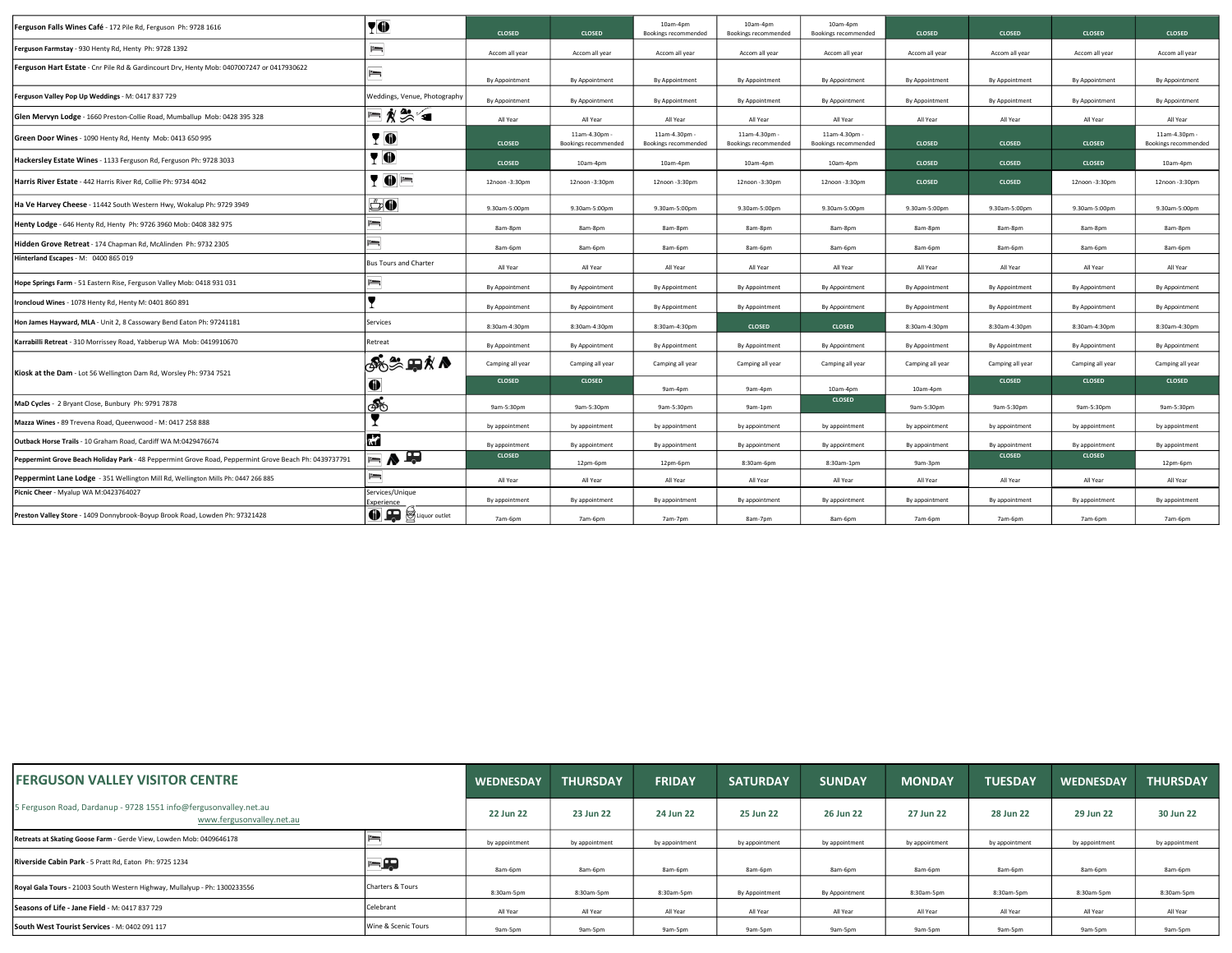| Ferguson Falls Wines Café - 172 Pile Rd, Ferguson Ph: 9728 1616                                       | YO                                 | <b>CLOSED</b>    | CLOSED                                | 10am-4pm<br>Bookings recommended      | 10am-4pm<br>Bookings recommended      | 10am-4pm<br>Bookings recommended             | <b>CLOSED</b>    | <b>CLOSED</b>    | <b>CLOSED</b>    | CLOSED                              |
|-------------------------------------------------------------------------------------------------------|------------------------------------|------------------|---------------------------------------|---------------------------------------|---------------------------------------|----------------------------------------------|------------------|------------------|------------------|-------------------------------------|
| Ferguson Farmstay - 930 Henty Rd, Henty Ph: 9728 1392                                                 | $=$                                | Accom all year   | Accom all year                        | Accom all year                        | Accom all year                        | Accom all year                               | Accom all year   | Accom all year   | Accom all year   | Accom all year                      |
| Ferguson Hart Estate - Cnr Pile Rd & Gardincourt Drv, Henty Mob: 0407007247 or 0417930622             | $=$                                | By Appointment   | By Appointment                        | By Appointment                        | By Appointment                        | By Appointment                               | By Appointment   | By Appointment   | By Appointment   | By Appointment                      |
| Ferguson Valley Pop Up Weddings - M: 0417 837 729                                                     | Weddings, Venue, Photography       | By Appointment   | By Appointment                        | By Appointment                        | By Appointment                        | By Appointment                               | By Appointmen    | By Appointment   | By Appointment   | By Appointment                      |
| Glen Mervyn Lodge - 1660 Preston-Collie Road, Mumballup Mob: 0428 395 328                             | ⊟∦₩                                | All Year         | All Year                              | All Year                              | All Year                              | All Year                                     | All Year         | All Year         | All Year         | All Year                            |
| Green Door Wines - 1090 Henty Rd, Henty Mob: 0413 650 995                                             | YO                                 | <b>CLOSED</b>    | 11am-4.30pm -<br>Bookings recommended | 11am-4.30pm -<br>Bookings recommended | 11am-4.30pm -<br>Bookings recommended | 11am-4.30pm -<br><b>Bookings recommended</b> | <b>CLOSED</b>    | <b>CLOSED</b>    | <b>CLOSED</b>    | 11am-4.30pm<br>Bookings recommended |
| Hackersley Estate Wines - 1133 Ferguson Rd, Ferguson Ph: 9728 3033                                    | 70                                 | <b>CLOSED</b>    | 10am-4pm                              | 10am-4pm                              | 10am-4pm                              | 10am-4pm                                     | <b>CLOSED</b>    | <b>CLOSED</b>    | <b>CLOSED</b>    | 10am-4pm                            |
| Harris River Estate - 442 Harris River Rd, Collie Ph: 9734 4042                                       | YOF                                | 12noon - 3:30pm  | 12noon - 3:30pm                       | 12noon - 3:30pm                       | 12noon-3:30pm                         | 12noon-3:30pm                                | <b>CLOSED</b>    | <b>CLOSED</b>    | 12noon -3:30pm   | 12noon-3:30pm                       |
| Ha Ve Harvey Cheese - 11442 South Western Hwy, Wokalup Ph: 9729 3949                                  | <u>ő0</u>                          | 9.30am-5:00pm    | 9.30am-5:00pm                         | 9.30am-5:00pm                         | 9.30am-5:00pm                         | 9.30am-5:00pm                                | 9.30am-5:00pm    | 9.30am-5:00pm    | 9.30am-5:00pm    | 9.30am-5:00pm                       |
| Henty Lodge - 646 Henty Rd, Henty Ph: 9726 3960 Mob: 0408 382 975                                     | $=$                                | 8am-8pm          | 8am-8pm                               | 8am-8pm                               | 8am-8pm                               | 8am-8pm                                      | 8am-8pm          | 8am-8pm          | 8am-8pm          | 8am-8pm                             |
| Hidden Grove Retreat - 174 Chapman Rd, McAlinden Ph: 9732 2305                                        | $=$                                | 8am-6pm          | 8am-6pm                               | 8am-6pm                               | 8am-6pm                               | 8am-6pm                                      | 8am-6pm          | 8am-6pm          | 8am-6pm          | 8am-6pm                             |
| Hinterland Escapes - M: 0400 865 019                                                                  | <b>Bus Tours and Charter</b>       | All Year         | All Year                              | All Year                              | All Year                              | All Year                                     | All Year         | All Year         | All Year         | All Year                            |
| Hope Springs Farm - 51 Eastern Rise, Ferguson Valley Mob: 0418 931 031                                | $=$                                | By Appointment   | By Appointment                        | By Appointment                        | By Appointment                        | By Appointment                               | By Appointment   | By Appointment   | By Appointment   | By Appointment                      |
| Ironcloud Wines - 1078 Henty Rd, Henty M: 0401 860 891                                                |                                    | By Appointment   | By Appointment                        | By Appointment                        | By Appointment                        | By Appointment                               | By Appointment   | By Appointment   | By Appointment   | By Appointment                      |
| Hon James Hayward, MLA - Unit 2, 8 Cassowary Bend Eaton Ph: 97241181                                  | Services                           | 8:30am-4:30pm    | 8:30am-4:30pm                         | 8:30am-4:30pm                         | <b>CLOSED</b>                         | <b>CLOSED</b>                                | 8:30am-4:30pm    | 8:30am-4:30pm    | 8:30am-4:30pm    | 8:30am-4:30pm                       |
| Karrabilli Retreat - 310 Morrissey Road, Yabberup WA Mob: 0419910670                                  | Retreat                            | By Appointment   | By Appointment                        | By Appointment                        | By Appointment                        | By Appointment                               | By Appointment   | By Appointment   | By Appointment   | By Appointment                      |
| Kiosk at the Dam - Lot 56 Wellington Dam Rd, Worsley Ph: 9734 7521                                    | ஃஃ⊞∦∧                              | Camping all year | Camping all year                      | Camping all year                      | Camping all year                      | Camping all year                             | Camping all year | Camping all year | Camping all year | Camping all year                    |
|                                                                                                       | 0                                  | <b>CLOSED</b>    | <b>CLOSED</b>                         | 9am-4pm                               | 9am-4pm                               | 10am-4pm                                     | 10am-4pm         | <b>CLOSED</b>    | <b>CLOSED</b>    | <b>CLOSED</b>                       |
| MaD Cycles - 2 Bryant Close, Bunbury Ph: 9791 7878                                                    | ණ්                                 | 9am-5:30pm       | 9am-5:30pm                            | 9am-5:30pm                            | 9am-1pm                               | <b>CLOSED</b>                                | 9am-5:30pm       | 9am-5:30pm       | 9am-5:30pm       | 9am-5:30pm                          |
| Mazza Wines - 89 Trevena Road, Queenwood - M: 0417 258 888                                            |                                    | by appointment   | by appointment                        | by appointment                        | by appointment                        | by appointment                               | by appointment   | by appointment   | by appointment   | by appointment                      |
| Outback Horse Trails - 10 Graham Road, Cardiff WA M:0429476674                                        | ķΥ                                 | By appointment   | By appointment                        | By appointment                        | By appointment                        | By appointment                               | By appointment   | By appointment   | By appointment   | By appointment                      |
| Peppermint Grove Beach Holiday Park - 48 Peppermint Grove Road, Peppermint Grove Beach Ph: 0439737791 | $\blacksquare \wedge \blacksquare$ | <b>CLOSED</b>    | 12pm-6pm                              | 12pm-6pm                              | 8:30am-6pm                            | 8:30am-1pm                                   | 9am-3pm          | <b>CLOSED</b>    | <b>CLOSED</b>    | 12pm-6pm                            |
| Peppermint Lane Lodge - 351 Wellington Mill Rd, Wellington Mills Ph: 0447 266 885                     | $=$                                | All Year         | All Year                              | All Year                              | All Year                              | All Year                                     | All Year         | All Year         | All Year         | All Year                            |
| Picnic Cheer - Myalup WA M:0423764027                                                                 | Services/Unique<br>xperienc        | By appointment   | By appointment                        | By appointment                        | By appointment                        | By appointment                               | By appointmen    | By appointment   | By appointment   | By appointment                      |
| Preston Valley Store - 1409 Donnybrook-Boyup Brook Road, Lowden Ph: 97321428                          | <sup>1</sup>                       | 7am-6pm          | 7am-6pm                               | 7am-7pm                               | 8am-7pm                               | 8am-6pm                                      | 7am-6pm          | 7am-6pm          | 7am-6pm          | 7am-6pm                             |

| <b>IFERGUSON VALLEY VISITOR CENTRE</b>                                                        |                     | <b>WEDNESDAY</b> | <b>THURSDAY</b> | <b>FRIDAY</b>  | <b>SATURDAY</b> | <b>SUNDAY</b>  | <b>MONDAY</b>  | <b>TUESDAY</b> | <b>WEDNESDAY</b> | <b>THURSDAY</b> |
|-----------------------------------------------------------------------------------------------|---------------------|------------------|-----------------|----------------|-----------------|----------------|----------------|----------------|------------------|-----------------|
| 5 Ferguson Road, Dardanup - 9728 1551 info@fergusonvalley.net.au<br>www.fergusonvalley.net.au |                     | 22 Jun 22        | 23 Jun 22       | 24 Jun 22      | 25 Jun 22       | 26 Jun 22      | 27 Jun 22      | 28 Jun 22      | 29 Jun 22        | 30 Jun 22       |
| Retreats at Skating Goose Farm - Gerde View, Lowden Mob: 0409646178                           |                     | by appointment   | by appointment  | by appointment | by appointment  | by appointment | by appointment | by appointment | by appointment   | by appointment  |
| Riverside Cabin Park - 5 Pratt Rd, Eaton Ph: 9725 1234                                        | FŖ                  | 8am-6pm          | 8am-6pm         | 8am-6pm        | 8am-6pm         | 8am-6pm        | 8am-6pm        | 8am-6pm        | 8am-6pm          | 8am-6pm         |
| Royal Gala Tours - 21003 South Western Highway, Mullalyup - Ph: 1300233556                    | Charters & Tours    | 8:30am-5pm       | 8:30am-5pm      | 8:30am-5pm     | By Appointment  | By Appointment | 8:30am-5pm     | 8:30am-5pm     | 8:30am-5pm       | 8:30am-5pm      |
| Seasons of Life - Jane Field - M: 0417 837 729                                                | Celebrant           | All Year         | All Year        | All Year       | All Year        | All Year       | All Year       | All Year       | All Year         | All Year        |
| South West Tourist Services - M: 0402 091 117                                                 | Wine & Scenic Tours | 9am-5pm          | 9am-5pm         | 9am-5pm        | 9am-5pm         | 9am-5pm        | 9am-5pm        | 9am-5pm        | 9am-5pm          | 9am-5pm         |